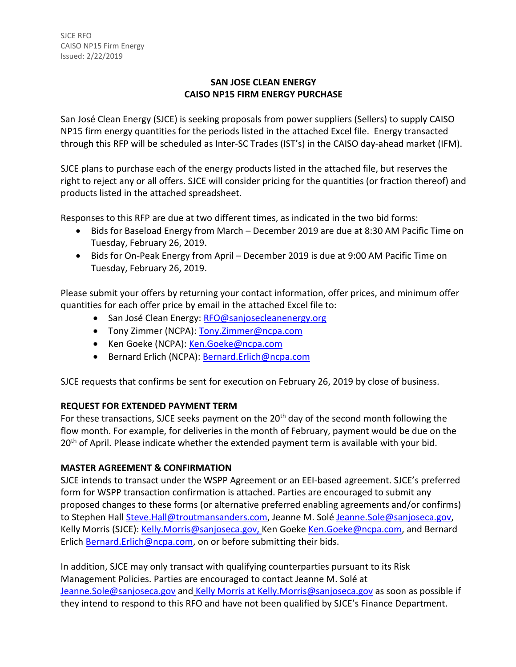#### **SAN JOSE CLEAN ENERGY CAISO NP15 FIRM ENERGY PURCHASE**

San José Clean Energy (SJCE) is seeking proposals from power suppliers (Sellers) to supply CAISO NP15 firm energy quantities for the periods listed in the attached Excel file. Energy transacted through this RFP will be scheduled as Inter-SC Trades (IST's) in the CAISO day-ahead market (IFM).

SJCE plans to purchase each of the energy products listed in the attached file, but reserves the right to reject any or all offers. SJCE will consider pricing for the quantities (or fraction thereof) and products listed in the attached spreadsheet.

Responses to this RFP are due at two different times, as indicated in the two bid forms:

- Bids for Baseload Energy from March December 2019 are due at 8:30 AM Pacific Time on Tuesday, February 26, 2019.
- Bids for On-Peak Energy from April December 2019 is due at 9:00 AM Pacific Time on Tuesday, February 26, 2019.

Please submit your offers by returning your contact information, offer prices, and minimum offer quantities for each offer price by email in the attached Excel file to:

- San José Clean Energy: [RFO@sanjosecleanenergy.org](mailto:RFO@sanjosecleanenergy.org)
- Tony Zimmer (NCPA): [Tony.Zimmer@ncpa.com](mailto:Tony.Zimmer@ncpa.com)
- Ken Goeke (NCPA): [Ken.Goeke@ncpa.com](mailto:Ken.Goeke@ncpa.com)
- Bernard Erlich (NCPA): [Bernard.Erlich@ncpa.com](mailto:Bernard.Erlich@ncpa.com)

SJCE requests that confirms be sent for execution on February 26, 2019 by close of business.

# **REQUEST FOR EXTENDED PAYMENT TERM**

For these transactions, SJCE seeks payment on the 20<sup>th</sup> day of the second month following the flow month. For example, for deliveries in the month of February, payment would be due on the 20<sup>th</sup> of April. Please indicate whether the extended payment term is available with your bid.

# **MASTER AGREEMENT & CONFIRMATION**

SJCE intends to transact under the WSPP Agreement or an EEI-based agreement. SJCE's preferred form for WSPP transaction confirmation is attached. Parties are encouraged to submit any proposed changes to these forms (or alternative preferred enabling agreements and/or confirms) to Stephen Hall [Steve.Hall@troutmansanders.com,](mailto:Steve.Hall@troutmansanders.com) Jeanne M. Solé [Jeanne.Sole@sanjoseca.gov,](mailto:Jeanne.Sole@sanjoseca.gov) Kelly Morris (SJCE): [Kelly.Morris@sanjoseca.gov,](mailto:Kelly.Morris@sanjoseca.gov) Ken Goeke [Ken.Goeke@ncpa.com,](mailto:Ken.Goeke@ncpa.com) and Bernard Erlich [Bernard.Erlich@ncpa.com,](mailto:Bernard.Erlich@ncpa.com) on or before submitting their bids.

In addition, SJCE may only transact with qualifying counterparties pursuant to its Risk Management Policies. Parties are encouraged to contact Jeanne M. Solé at [Jeanne.Sole@sanjoseca.gov](mailto:Jeanne.Sole@sanjoseca.gov) and Kelly Morris at [Kelly.Morris@sanjoseca.gov](mailto:Kelly.Morris@sanjoseca.gov) as soon as possible if they intend to respond to this RFO and have not been qualified by SJCE's Finance Department.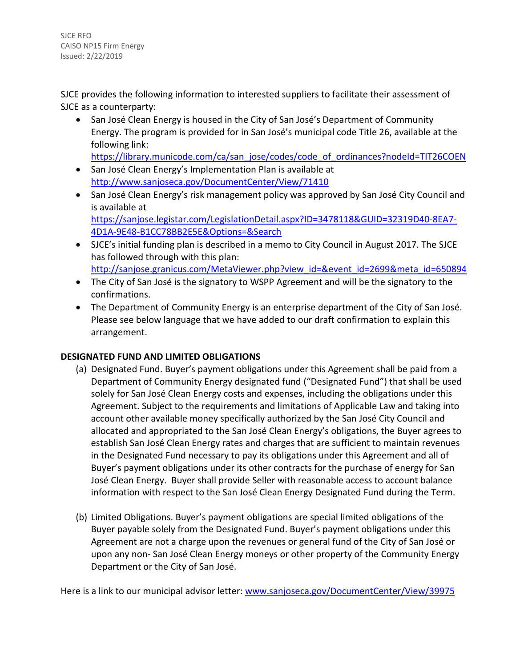SJCE RFO CAISO NP15 Firm Energy Issued: 2/22/2019

SJCE provides the following information to interested suppliers to facilitate their assessment of SJCE as a counterparty:

• San José Clean Energy is housed in the City of San José's Department of Community Energy. The program is provided for in San José's municipal code Title 26, available at the following link:

[https://library.municode.com/ca/san\\_jose/codes/code\\_of\\_ordinances?nodeId=TIT26COEN](https://library.municode.com/ca/san_jose/codes/code_of_ordinances?nodeId=TIT26COEN)

- San José Clean Energy's Implementation Plan is available at <http://www.sanjoseca.gov/DocumentCenter/View/71410>
- San José Clean Energy's risk management policy was approved by San José City Council and is available at [https://sanjose.legistar.com/LegislationDetail.aspx?ID=3478118&GUID=32319D40-8EA7-](https://sanjose.legistar.com/LegislationDetail.aspx?ID=3478118&GUID=32319D40-8EA7-4D1A-9E48-B1CC78BB2E5E&Options=&Search) [4D1A-9E48-B1CC78BB2E5E&Options=&Search](https://sanjose.legistar.com/LegislationDetail.aspx?ID=3478118&GUID=32319D40-8EA7-4D1A-9E48-B1CC78BB2E5E&Options=&Search)
- SJCE's initial funding plan is described in a memo to City Council in August 2017. The SJCE has followed through with this plan: [http://sanjose.granicus.com/MetaViewer.php?view\\_id=&event\\_id=2699&meta\\_id=650894](http://sanjose.granicus.com/MetaViewer.php?view_id=&event_id=2699&meta_id=650894)
- The City of San José is the signatory to WSPP Agreement and will be the signatory to the confirmations.
- The Department of Community Energy is an enterprise department of the City of San José. Please see below language that we have added to our draft confirmation to explain this arrangement.

# **DESIGNATED FUND AND LIMITED OBLIGATIONS**

- (a) Designated Fund. Buyer's payment obligations under this Agreement shall be paid from a Department of Community Energy designated fund ("Designated Fund") that shall be used solely for San José Clean Energy costs and expenses, including the obligations under this Agreement. Subject to the requirements and limitations of Applicable Law and taking into account other available money specifically authorized by the San José City Council and allocated and appropriated to the San José Clean Energy's obligations, the Buyer agrees to establish San José Clean Energy rates and charges that are sufficient to maintain revenues in the Designated Fund necessary to pay its obligations under this Agreement and all of Buyer's payment obligations under its other contracts for the purchase of energy for San José Clean Energy. Buyer shall provide Seller with reasonable access to account balance information with respect to the San José Clean Energy Designated Fund during the Term.
- (b) Limited Obligations. Buyer's payment obligations are special limited obligations of the Buyer payable solely from the Designated Fund. Buyer's payment obligations under this Agreement are not a charge upon the revenues or general fund of the City of San José or upon any non- San José Clean Energy moneys or other property of the Community Energy Department or the City of San José.

Here is a link to our municipal advisor letter: [www.sanjoseca.gov/DocumentCenter/View/39975](http://www.sanjoseca.gov/DocumentCenter/View/39975)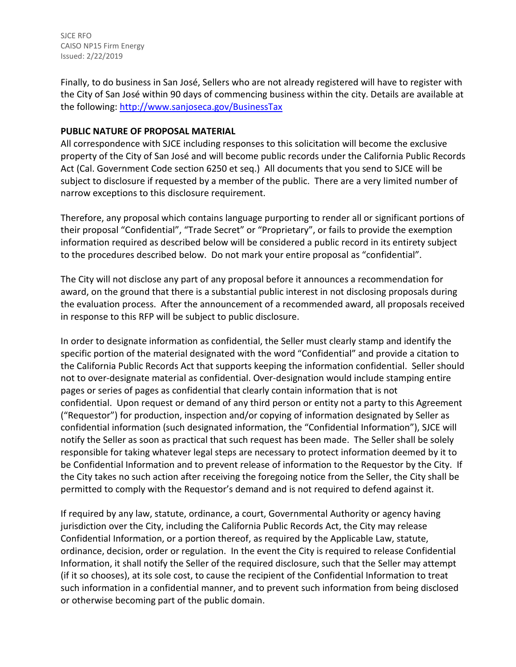SJCE RFO CAISO NP15 Firm Energy Issued: 2/22/2019

Finally, to do business in San José, Sellers who are not already registered will have to register with the City of San José within 90 days of commencing business within the city. Details are available at the following:<http://www.sanjoseca.gov/BusinessTax>

#### **PUBLIC NATURE OF PROPOSAL MATERIAL**

All correspondence with SJCE including responses to this solicitation will become the exclusive property of the City of San José and will become public records under the California Public Records Act (Cal. Government Code section 6250 et seq.) All documents that you send to SJCE will be subject to disclosure if requested by a member of the public. There are a very limited number of narrow exceptions to this disclosure requirement.

Therefore, any proposal which contains language purporting to render all or significant portions of their proposal "Confidential", "Trade Secret" or "Proprietary", or fails to provide the exemption information required as described below will be considered a public record in its entirety subject to the procedures described below. Do not mark your entire proposal as "confidential".

The City will not disclose any part of any proposal before it announces a recommendation for award, on the ground that there is a substantial public interest in not disclosing proposals during the evaluation process. After the announcement of a recommended award, all proposals received in response to this RFP will be subject to public disclosure.

In order to designate information as confidential, the Seller must clearly stamp and identify the specific portion of the material designated with the word "Confidential" and provide a citation to the California Public Records Act that supports keeping the information confidential. Seller should not to over-designate material as confidential. Over-designation would include stamping entire pages or series of pages as confidential that clearly contain information that is not confidential. Upon request or demand of any third person or entity not a party to this Agreement ("Requestor") for production, inspection and/or copying of information designated by Seller as confidential information (such designated information, the "Confidential Information"), SJCE will notify the Seller as soon as practical that such request has been made. The Seller shall be solely responsible for taking whatever legal steps are necessary to protect information deemed by it to be Confidential Information and to prevent release of information to the Requestor by the City. If the City takes no such action after receiving the foregoing notice from the Seller, the City shall be permitted to comply with the Requestor's demand and is not required to defend against it.

If required by any law, statute, ordinance, a court, Governmental Authority or agency having jurisdiction over the City, including the California Public Records Act, the City may release Confidential Information, or a portion thereof, as required by the Applicable Law, statute, ordinance, decision, order or regulation. In the event the City is required to release Confidential Information, it shall notify the Seller of the required disclosure, such that the Seller may attempt (if it so chooses), at its sole cost, to cause the recipient of the Confidential Information to treat such information in a confidential manner, and to prevent such information from being disclosed or otherwise becoming part of the public domain.